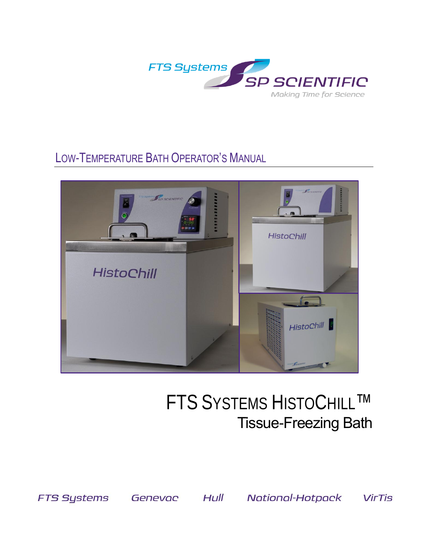

# LOW-TEMPERATURE BATH OPERATOR'S MANUAL



# **FTS SYSTEMS HISTOCHILL™ Tissue-Freezing Bath**

**FTS Systems** 

Genevac Hull National-Hotpack

**VirTis**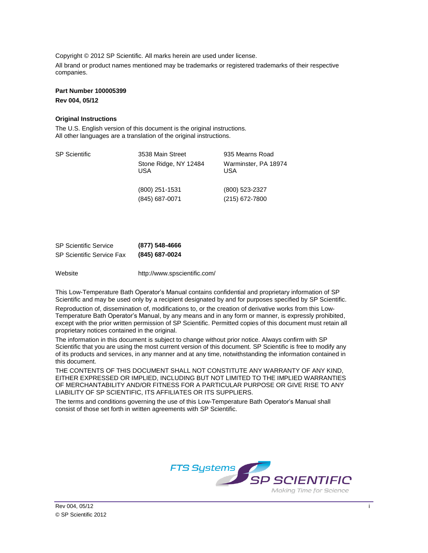Copyright © 2012 SP Scientific. All marks herein are used under license. All brand or product names mentioned may be trademarks or registered trademarks of their respective

**Part Number 100005399 Rev 004, 05/12**

companies.

#### **Original Instructions**

The U.S. English version of this document is the original instructions. All other languages are a translation of the original instructions.

| <b>SP Scientific</b> | 3538 Main Street<br>Stone Ridge, NY 12484<br>USA | 935 Mearns Road<br>Warminster, PA 18974<br>USA |
|----------------------|--------------------------------------------------|------------------------------------------------|
|                      | (800) 251-1531<br>(845) 687-0071                 | (800) 523-2327<br>(215) 672-7800               |

| <b>SP Scientific Service</b>     | (877) 548-4666 |
|----------------------------------|----------------|
| <b>SP Scientific Service Fax</b> | (845) 687-0024 |

Website http://www.spscientific.com/

This Low-Temperature Bath Operator's Manual contains confidential and proprietary information of SP Scientific and may be used only by a recipient designated by and for purposes specified by SP Scientific.

Reproduction of, dissemination of, modifications to, or the creation of derivative works from this Low-Temperature Bath Operator's Manual, by any means and in any form or manner, is expressly prohibited, except with the prior written permission of SP Scientific. Permitted copies of this document must retain all proprietary notices contained in the original.

The information in this document is subject to change without prior notice. Always confirm with SP Scientific that you are using the most current version of this document. SP Scientific is free to modify any of its products and services, in any manner and at any time, notwithstanding the information contained in this document.

THE CONTENTS OF THIS DOCUMENT SHALL NOT CONSTITUTE ANY WARRANTY OF ANY KIND, EITHER EXPRESSED OR IMPLIED, INCLUDING BUT NOT LIMITED TO THE IMPLIED WARRANTIES OF MERCHANTABILITY AND/OR FITNESS FOR A PARTICULAR PURPOSE OR GIVE RISE TO ANY LIABILITY OF SP SCIENTIFIC, ITS AFFILIATES OR ITS SUPPLIERS.

The terms and conditions governing the use of this Low-Temperature Bath Operator's Manual shall consist of those set forth in written agreements with SP Scientific.

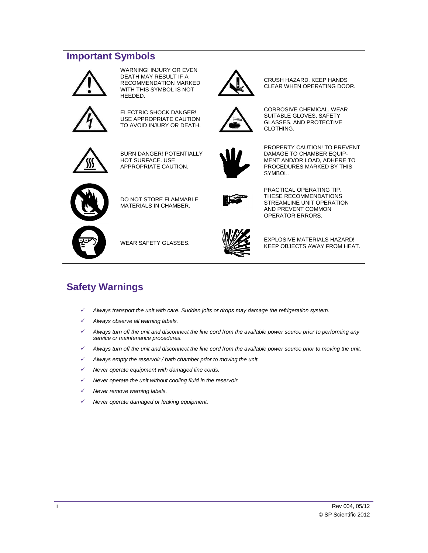# <span id="page-3-0"></span>**Important Symbols**



WARNING! INJURY OR EVEN DEATH MAY RESULT IF A RECOMMENDATION MARKED WITH THIS SYMBOL IS NOT HEEDED.



ELECTRIC SHOCK DANGER! USE APPROPRIATE CAUTION TO AVOID INJURY OR DEATH.



BURN DANGER! POTENTIALLY HOT SURFACE. USE APPROPRIATE CAUTION.



PROPERTY CAUTION! TO PREVENT DAMAGE TO CHAMBER EQUIP-MENT AND/OR LOAD, ADHERE TO PROCEDURES MARKED BY THIS SYMBOL.

CRUSH HAZARD. KEEP HANDS CLEAR WHEN OPERATING DOOR.

CORROSIVE CHEMICAL. WEAR SUITABLE GLOVES, SAFETY GLASSES, AND PROTECTIVE

CLOTHING.



DO NOT STORE FLAMMABLE MATERIALS IN CHAMBER.



PRACTICAL OPERATING TIP. THESE RECOMMENDATIONS STREAMLINE UNIT OPERATION AND PREVENT COMMON OPERATOR ERRORS.





WEAR SAFETY GLASSES. EXPLOSIVE MATERIALS HAZARD! KEEP OBJECTS AWAY FROM HEAT.

# <span id="page-3-1"></span>**Safety Warnings**

- *Always transport the unit with care. Sudden jolts or drops may damage the refrigeration system.*
- *Always observe all warning labels.*
- *Always turn off the unit and disconnect the line cord from the available power source prior to performing any service or maintenance procedures.*
- *Always turn off the unit and disconnect the line cord from the available power source prior to moving the unit.*
- *Always empty the reservoir / bath chamber prior to moving the unit.*
- *Never operate equipment with damaged line cords.*
- *Never operate the unit without cooling fluid in the reservoir.*
- *Never remove warning labels.*
- *Never operate damaged or leaking equipment.*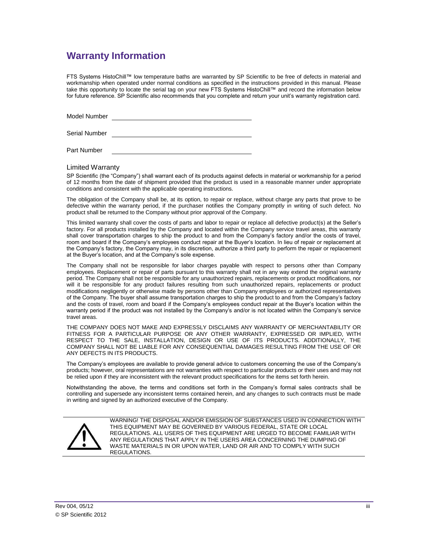# <span id="page-4-0"></span>**Warranty Information**

FTS Systems HistoChill™ low temperature baths are warranted by SP Scientific to be free of defects in material and workmanship when operated under normal conditions as specified in the instructions provided in this manual. Please take this opportunity to locate the serial tag on your new FTS Systems HistoChill™ and record the information below for future reference. SP Scientific also recommends that you complete and return your unit's warranty registration card.

Model Number

Serial Number

Part Number

#### Limited Warranty

SP Scientific (the "Company") shall warrant each of its products against defects in material or workmanship for a period of 12 months from the date of shipment provided that the product is used in a reasonable manner under appropriate conditions and consistent with the applicable operating instructions.

The obligation of the Company shall be, at its option, to repair or replace, without charge any parts that prove to be defective within the warranty period, if the purchaser notifies the Company promptly in writing of such defect. No product shall be returned to the Company without prior approval of the Company.

This limited warranty shall cover the costs of parts and labor to repair or replace all defective product(s) at the Seller's factory. For all products installed by the Company and located within the Company service travel areas, this warranty shall cover transportation charges to ship the product to and from the Company's factory and/or the costs of travel, room and board if the Company's employees conduct repair at the Buyer's location. In lieu of repair or replacement at the Company's factory, the Company may, in its discretion, authorize a third party to perform the repair or replacement at the Buyer's location, and at the Company's sole expense.

The Company shall not be responsible for labor charges payable with respect to persons other than Company employees. Replacement or repair of parts pursuant to this warranty shall not in any way extend the original warranty period. The Company shall not be responsible for any unauthorized repairs, replacements or product modifications, nor will it be responsible for any product failures resulting from such unauthorized repairs, replacements or product modifications negligently or otherwise made by persons other than Company employees or authorized representatives of the Company. The buyer shall assume transportation charges to ship the product to and from the Company's factory and the costs of travel, room and board if the Company's employees conduct repair at the Buyer's location within the warranty period if the product was not installed by the Company's and/or is not located within the Company's service travel areas.

THE COMPANY DOES NOT MAKE AND EXPRESSLY DISCLAIMS ANY WARRANTY OF MERCHANTABILITY OR FITNESS FOR A PARTICULAR PURPOSE OR ANY OTHER WARRANTY, EXPRESSED OR IMPLIED, WITH RESPECT TO THE SALE, INSTALLATION, DESIGN OR USE OF ITS PRODUCTS. ADDITIONALLY, THE COMPANY SHALL NOT BE LIABLE FOR ANY CONSEQUENTIAL DAMAGES RESULTING FROM THE USE OF OR ANY DEFECTS IN ITS PRODUCTS.

The Company's employees are available to provide general advice to customers concerning the use of the Company's products; however, oral representations are not warranties with respect to particular products or their uses and may not be relied upon if they are inconsistent with the relevant product specifications for the items set forth herein.

Notwithstanding the above, the terms and conditions set forth in the Company's formal sales contracts shall be controlling and supersede any inconsistent terms contained herein, and any changes to such contracts must be made in writing and signed by an authorized executive of the Company.



WARNING! THE DISPOSAL AND/OR EMISSION OF SUBSTANCES USED IN CONNECTION WITH THIS EQUIPMENT MAY BE GOVERNED BY VARIOUS FEDERAL, STATE OR LOCAL REGULATIONS. ALL USERS OF THIS EQUIPMENT ARE URGED TO BECOME FAMILIAR WITH ANY REGULATIONS THAT APPLY IN THE USERS AREA CONCERNING THE DUMPING OF WASTE MATERIALS IN OR UPON WATER, LAND OR AIR AND TO COMPLY WITH SUCH REGULATIONS.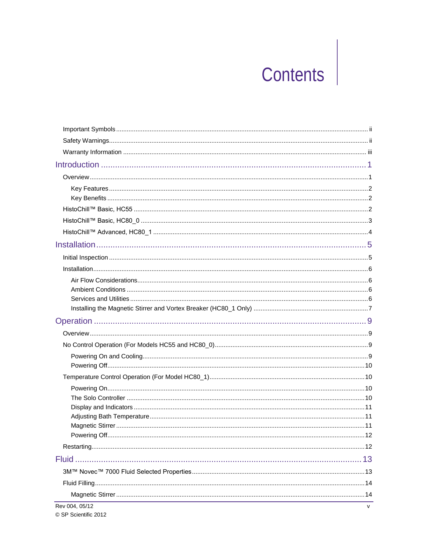# Contents

| Rev 004, 05/12 | v |
|----------------|---|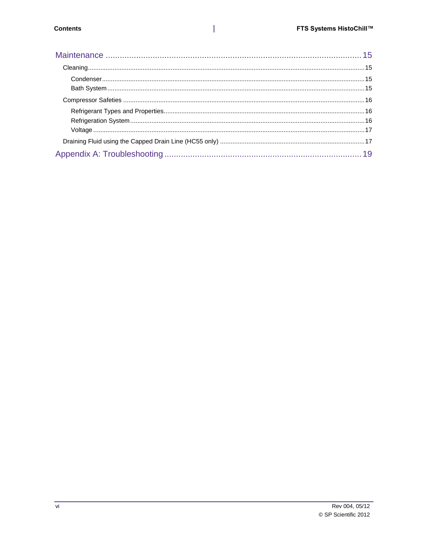$\mathsf I$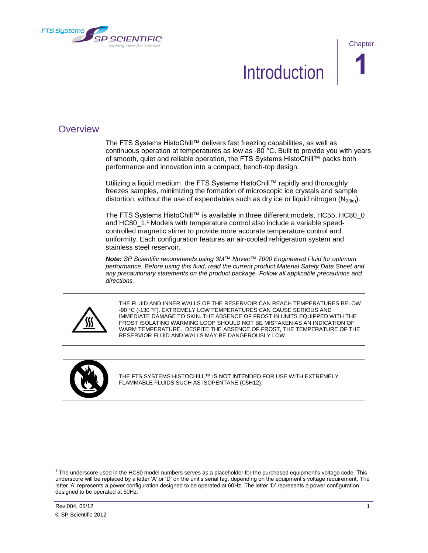<span id="page-8-0"></span>

**Chapter** 

# **Introduction**

## <span id="page-8-1"></span>**Overview**

The FTS Systems HistoChill™ delivers fast freezing capabilities, as well as continuous operation at temperatures as low as -80 °C. Built to provide you with years of smooth, quiet and reliable operation, the FTS Systems HistoChill™ packs both performance and innovation into a compact, bench-top design.

Utilizing a liquid medium, the FTS Systems HistoChill™ rapidly and thoroughly freezes samples, minimizing the formation of microscopic ice crystals and sample distortion, without the use of expendables such as dry ice or liquid nitrogen  $(N_{2(lin)})$ .

The FTS Systems HistoChill™ is available in three different models, HC55, HC80\_0 and HC80\_1. <sup>1</sup> Models with temperature control also include a variable speedcontrolled magnetic stirrer to provide more accurate temperature control and uniformity. Each configuration features an air-cooled refrigeration system and stainless steel reservoir.

*Note: SP Scientific recommends using 3M™ Novec™ 7000 Engineered Fluid for optimum performance. Before using this fluid, read the current product Material Safety Data Sheet and any precautionary statements on the product package. Follow all applicable precautions and directions.*



THE FLUID AND INNER WALLS OF THE RESERVOIR CAN REACH TEMPERATURES BELOW -90 °C (-130 °F). EXTREMELY LOW TEMPERATURES CAN CAUSE SERIOUS AND IMMEDIATE DAMAGE TO SKIN. THE ABSENCE OF FROST IN UNITS EQUIPPED WITH THE FROST ISOLATING WARMING LOOP SHOULD NOT BE MISTAKEN AS AN INDICATION OF WARM TEMPERATURE. DESPITE THE ABSENCE OF FROST, THE TEMPERATURE OF THE RESERVIOR FLUID AND WALLS MAY BE DANGEROUSLY LOW.



THE FTS SYSTEMS HISTOCHILL™ IS NOT INTENDED FOR USE WITH EXTREMELY FLAMMABLE FLUIDS SUCH AS ISOPENTANE [\(C5H12\)](http://en.wikipedia.org/wiki/Carbon).

 $\overline{\phantom{a}}$ 

 $1$  The underscore used in the HC80 model numbers serves as a placeholder for the purchased equipment's voltage code. This underscore will be replaced by a letter 'A' or 'D' on the unit's serial tag, depending on the equipment's voltage requirement. The letter 'A' represents a power configuration designed to be operated at 60Hz. The letter 'D' represents a power configuration designed to be operated at 50Hz.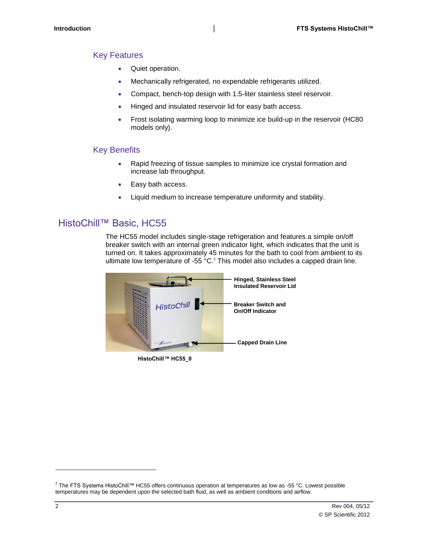#### <span id="page-9-0"></span>Key Features

- Quiet operation.
- Mechanically refrigerated, no expendable refrigerants utilized.
- Compact, bench-top design with 1.5-liter stainless steel reservoir.
- Hinged and insulated reservoir lid for easy bath access.
- Frost isolating warming loop to minimize ice build-up in the reservoir (HC80 models only).

#### <span id="page-9-1"></span>Key Benefits

- Rapid freezing of tissue samples to minimize ice crystal formation and increase lab throughput.
- Easy bath access.
- Liquid medium to increase temperature uniformity and stability.

### <span id="page-9-2"></span>HistoChill™ Basic, HC55

The HC55 model includes single-stage refrigeration and features a simple on/off breaker switch with an internal green indicator light, which indicates that the unit is turned on. It takes approximately 45 minutes for the bath to cool from ambient to its ultimate low temperature of -55 °C.<sup>2</sup> This model also includes a capped drain line.



**HistoChill™ HC55\_0**

 $\overline{\phantom{a}}$ 

<sup>2</sup> The FTS Systems HistoChill™ HC55 offers continuous operation at temperatures as low as -55 °C. Lowest possible temperatures may be dependent upon the selected bath fluid, as well as ambient conditions and airflow.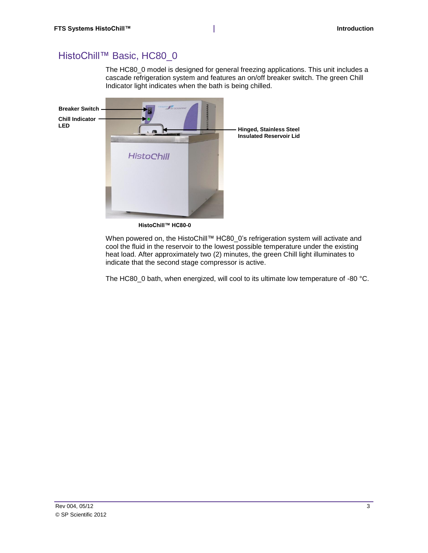# <span id="page-10-0"></span>HistoChill™ Basic, HC80\_0

The HC80\_0 model is designed for general freezing applications. This unit includes a cascade refrigeration system and features an on/off breaker switch. The green Chill Indicator light indicates when the bath is being chilled.



**HistoChill™ HC80-0**

When powered on, the HistoChill™ HC80\_0's refrigeration system will activate and cool the fluid in the reservoir to the lowest possible temperature under the existing heat load. After approximately two (2) minutes, the green Chill light illuminates to indicate that the second stage compressor is active.

The HC80\_0 bath, when energized, will cool to its ultimate low temperature of -80 °C.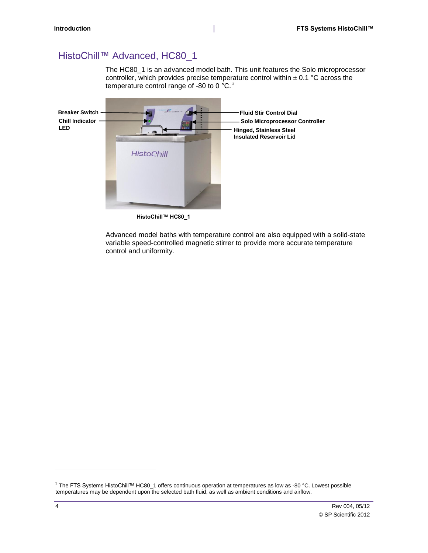# <span id="page-11-0"></span>HistoChill™ Advanced, HC80\_1

The HC80\_1 is an advanced model bath. This unit features the Solo microprocessor controller, which provides precise temperature control within  $\pm$  0.1 °C across the temperature control range of -80 to 0 °C. <sup>3</sup>



**HistoChill™ HC80\_1**

Advanced model baths with temperature control are also equipped with a solid-state variable speed-controlled magnetic stirrer to provide more accurate temperature control and uniformity.

 $\overline{\phantom{a}}$ 

<sup>3</sup> The FTS Systems HistoChill™ HC80\_1 offers continuous operation at temperatures as low as -80 °C. Lowest possible temperatures may be dependent upon the selected bath fluid, as well as ambient conditions and airflow.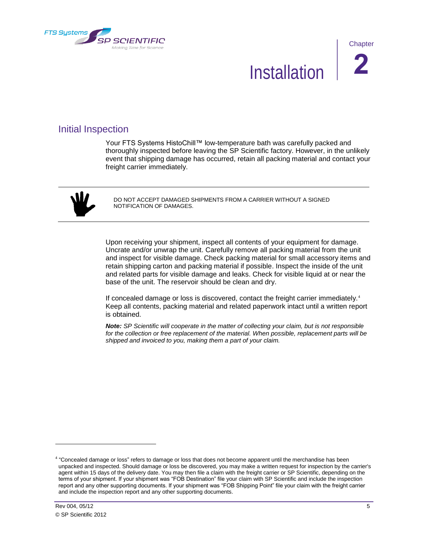<span id="page-12-0"></span>

# Installation **2**

# <span id="page-12-1"></span>Initial Inspection

Your FTS Systems HistoChill™ low-temperature bath was carefully packed and thoroughly inspected before leaving the SP Scientific factory. However, in the unlikely event that shipping damage has occurred, retain all packing material and contact your freight carrier immediately.



DO NOT ACCEPT DAMAGED SHIPMENTS FROM A CARRIER WITHOUT A SIGNED NOTIFICATION OF DAMAGES.

Upon receiving your shipment, inspect all contents of your equipment for damage. Uncrate and/or unwrap the unit. Carefully remove all packing material from the unit and inspect for visible damage. Check packing material for small accessory items and retain shipping carton and packing material if possible. Inspect the inside of the unit and related parts for visible damage and leaks. Check for visible liquid at or near the base of the unit. The reservoir should be clean and dry.

If concealed damage or loss is discovered, contact the freight carrier immediately.<sup>4</sup> Keep all contents, packing material and related paperwork intact until a written report is obtained.

*Note: SP Scientific will cooperate in the matter of collecting your claim, but is not responsible*  for the collection or free replacement of the material. When possible, replacement parts will be *shipped and invoiced to you, making them a part of your claim.*

 $\overline{a}$ 

<sup>&</sup>lt;sup>4</sup> "Concealed damage or loss" refers to damage or loss that does not become apparent until the merchandise has been unpacked and inspected. Should damage or loss be discovered, you may make a written request for inspection by the carrier's agent within 15 days of the delivery date. You may then file a claim with the freight carrier or SP Scientific, depending on the terms of your shipment. If your shipment was "FOB Destination" file your claim with SP Scientific and include the inspection report and any other supporting documents. If your shipment was "FOB Shipping Point" file your claim with the freight carrier and include the inspection report and any other supporting documents.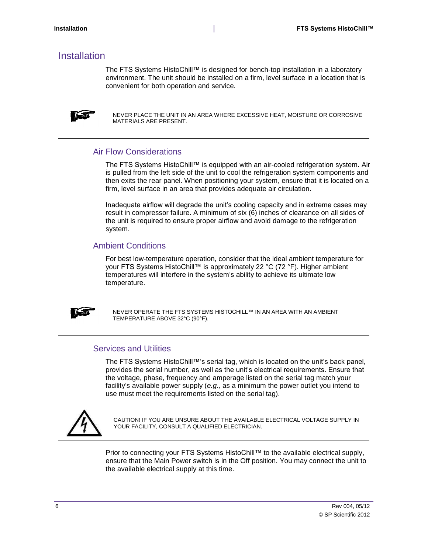### <span id="page-13-0"></span>Installation

The FTS Systems HistoChill™ is designed for bench-top installation in a laboratory environment. The unit should be installed on a firm, level surface in a location that is convenient for both operation and service.



NEVER PLACE THE UNIT IN AN AREA WHERE EXCESSIVE HEAT, MOISTURE OR CORROSIVE MATERIALS ARE PRESENT.

#### <span id="page-13-1"></span>Air Flow Considerations

The FTS Systems HistoChill™ is equipped with an air-cooled refrigeration system. Air is pulled from the left side of the unit to cool the refrigeration system components and then exits the rear panel. When positioning your system, ensure that it is located on a firm, level surface in an area that provides adequate air circulation.

Inadequate airflow will degrade the unit's cooling capacity and in extreme cases may result in compressor failure. A minimum of six (6) inches of clearance on all sides of the unit is required to ensure proper airflow and avoid damage to the refrigeration system.

#### <span id="page-13-2"></span>Ambient Conditions

For best low-temperature operation, consider that the ideal ambient temperature for your FTS Systems HistoChill™ is approximately 22 °C (72 °F). Higher ambient temperatures will interfere in the system's ability to achieve its ultimate low temperature.



NEVER OPERATE THE FTS SYSTEMS HISTOCHILL™ IN AN AREA WITH AN AMBIENT TEMPERATURE ABOVE 32°C (90°F).

#### <span id="page-13-3"></span>Services and Utilities

The FTS Systems HistoChill™'s serial tag, which is located on the unit's back panel, provides the serial number, as well as the unit's electrical requirements. Ensure that the voltage, phase, frequency and amperage listed on the serial tag match your facility's available power supply (*e.g.,* as a minimum the power outlet you intend to use must meet the requirements listed on the serial tag).



CAUTION! IF YOU ARE UNSURE ABOUT THE AVAILABLE ELECTRICAL VOLTAGE SUPPLY IN YOUR FACILITY, CONSULT A QUALIFIED ELECTRICIAN.

Prior to connecting your FTS Systems HistoChill™ to the available electrical supply, ensure that the Main Power switch is in the Off position. You may connect the unit to the available electrical supply at this time.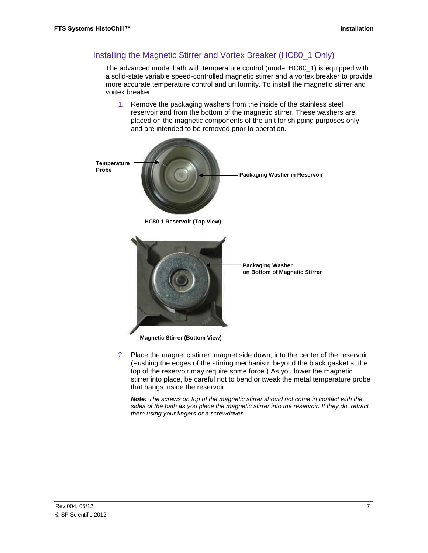#### <span id="page-14-0"></span>Installing the Magnetic Stirrer and Vortex Breaker (HC80\_1 Only)

The advanced model bath with temperature control (model HC80\_1) is equipped with a solid-state variable speed-controlled magnetic stirrer and a vortex breaker to provide more accurate temperature control and uniformity. To install the magnetic stirrer and vortex breaker:

1. Remove the packaging washers from the inside of the stainless steel reservoir and from the bottom of the magnetic stirrer. These washers are placed on the magnetic components of the unit for shipping purposes only and are intended to be removed prior to operation.



2. Place the magnetic stirrer, magnet side down, into the center of the reservoir. (Pushing the edges of the stirring mechanism beyond the black gasket at the top of the reservoir may require some force.) As you lower the magnetic stirrer into place, be careful not to bend or tweak the metal temperature probe that hangs inside the reservoir.

*Note: The screws on top of the magnetic stirrer should not come in contact with the sides of the bath as you place the magnetic stirrer into the reservoir. If they do, retract them using your fingers or a screwdriver.*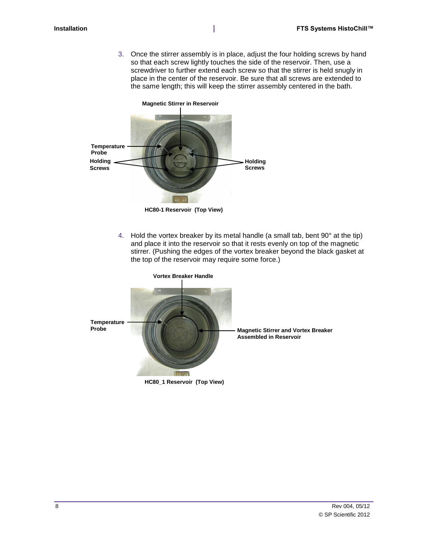3. Once the stirrer assembly is in place, adjust the four holding screws by hand so that each screw lightly touches the side of the reservoir. Then, use a screwdriver to further extend each screw so that the stirrer is held snugly in place in the center of the reservoir. Be sure that all screws are extended to the same length; this will keep the stirrer assembly centered in the bath.



**HC80-1 Reservoir (Top View)**

4. Hold the vortex breaker by its metal handle (a small tab, bent  $90^\circ$  at the tip) and place it into the reservoir so that it rests evenly on top of the magnetic stirrer. (Pushing the edges of the vortex breaker beyond the black gasket at the top of the reservoir may require some force.)



**HC80\_1 Reservoir (Top View)**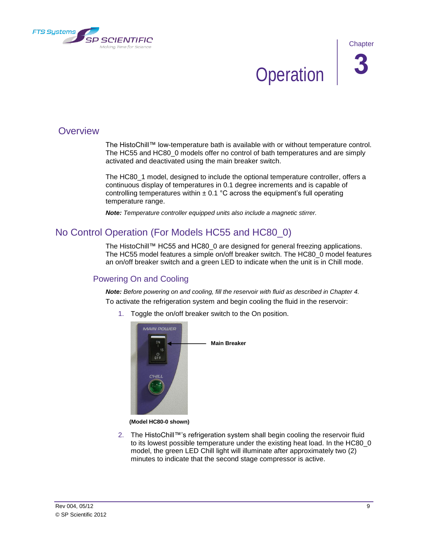<span id="page-16-0"></span>

**Operation** 

# <span id="page-16-1"></span>**Overview**

The HistoChill™ low-temperature bath is available with or without temperature control. The HC55 and HC80\_0 models offer no control of bath temperatures and are simply activated and deactivated using the main breaker switch.

The HC80\_1 model, designed to include the optional temperature controller, offers a continuous display of temperatures in 0.1 degree increments and is capable of controlling temperatures within  $\pm$  0.1 °C across the equipment's full operating temperature range.

*Note: Temperature controller equipped units also include a magnetic stirrer.*

# <span id="page-16-2"></span>No Control Operation (For Models HC55 and HC80\_0)

The HistoChill™ HC55 and HC80\_0 are designed for general freezing applications. The HC55 model features a simple on/off breaker switch. The HC80\_0 model features an on/off breaker switch and a green LED to indicate when the unit is in Chill mode.

### <span id="page-16-3"></span>Powering On and Cooling

*Note: Before powering on and cooling, fill the reservoir with fluid as described in Chapter 4.* To activate the refrigeration system and begin cooling the fluid in the reservoir:

1. Toggle the on/off breaker switch to the On position.



#### **(Model HC80-0 shown)**

2. The HistoChill™'s refrigeration system shall begin cooling the reservoir fluid to its lowest possible temperature under the existing heat load. In the HC80\_0 model, the green LED Chill light will illuminate after approximately two (2) minutes to indicate that the second stage compressor is active.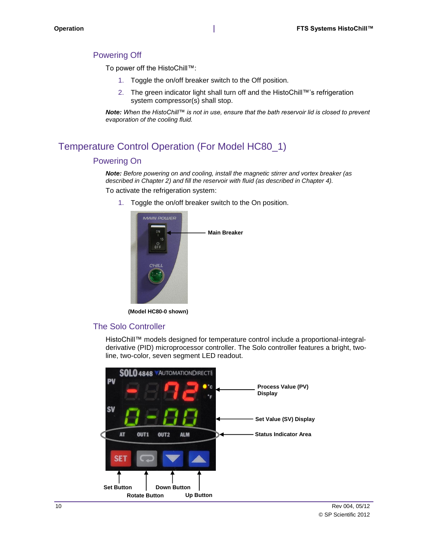#### <span id="page-17-0"></span>Powering Off

To power off the HistoChill™:

- 1. Toggle the on/off breaker switch to the Off position.
- 2. The green indicator light shall turn off and the HistoChill™'s refrigeration system compressor(s) shall stop.

*Note: When the HistoChill™ is not in use, ensure that the bath reservoir lid is closed to prevent evaporation of the cooling fluid.*

# <span id="page-17-2"></span><span id="page-17-1"></span>Temperature Control Operation (For Model HC80\_1)

#### Powering On

*Note: Before powering on and cooling, install the magnetic stirrer and vortex breaker (as described in Chapter 2) and fill the reservoir with fluid (as described in Chapter 4).* To activate the refrigeration system:

1. Toggle the on/off breaker switch to the On position.



**(Model HC80-0 shown)**

#### The Solo Controller

HistoChill™ models designed for temperature control include a proportional-integralderivative (PID) microprocessor controller. The Solo controller features a bright, twoline, two-color, seven segment LED readout.

<span id="page-17-3"></span>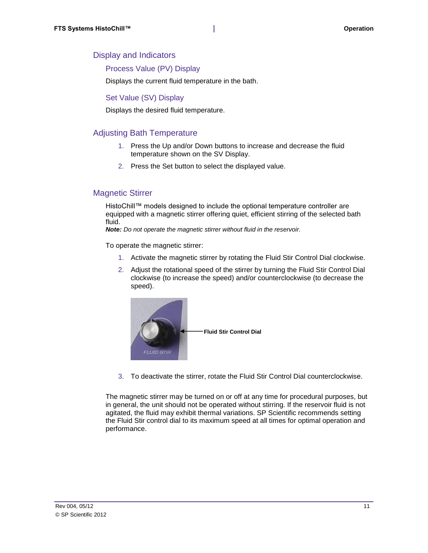#### <span id="page-18-0"></span>Display and Indicators

Process Value (PV) Display

Displays the current fluid temperature in the bath.

Set Value (SV) Display

Displays the desired fluid temperature.

#### <span id="page-18-1"></span>Adjusting Bath Temperature

- 1. Press the Up and/or Down buttons to increase and decrease the fluid temperature shown on the SV Display.
- 2. Press the Set button to select the displayed value.

#### <span id="page-18-2"></span>Magnetic Stirrer

HistoChill™ models designed to include the optional temperature controller are equipped with a magnetic stirrer offering quiet, efficient stirring of the selected bath fluid.

*Note: Do not operate the magnetic stirrer without fluid in the reservoir.* 

To operate the magnetic stirrer:

- 1. Activate the magnetic stirrer by rotating the Fluid Stir Control Dial clockwise.
- 2. Adjust the rotational speed of the stirrer by turning the Fluid Stir Control Dial clockwise (to increase the speed) and/or counterclockwise (to decrease the speed).



3. To deactivate the stirrer, rotate the Fluid Stir Control Dial counterclockwise.

The magnetic stirrer may be turned on or off at any time for procedural purposes, but in general, the unit should not be operated without stirring. If the reservoir fluid is not agitated, the fluid may exhibit thermal variations. SP Scientific recommends setting the Fluid Stir control dial to its maximum speed at all times for optimal operation and performance.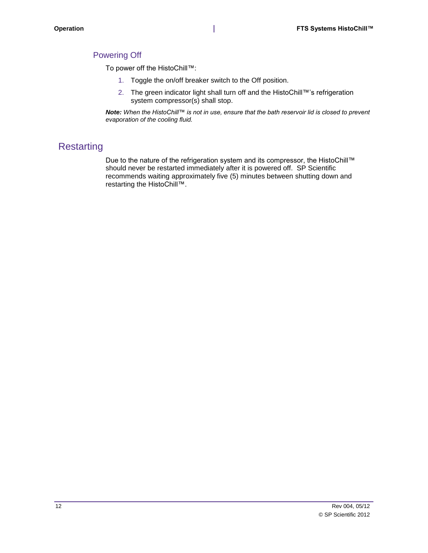#### <span id="page-19-0"></span>Powering Off

To power off the HistoChill™:

- 1. Toggle the on/off breaker switch to the Off position.
- 2. The green indicator light shall turn off and the HistoChill™'s refrigeration system compressor(s) shall stop.

*Note: When the HistoChill™ is not in use, ensure that the bath reservoir lid is closed to prevent evaporation of the cooling fluid.*

# <span id="page-19-1"></span>**Restarting**

Due to the nature of the refrigeration system and its compressor, the HistoChill™ should never be restarted immediately after it is powered off. SP Scientific recommends waiting approximately five (5) minutes between shutting down and restarting the HistoChill™.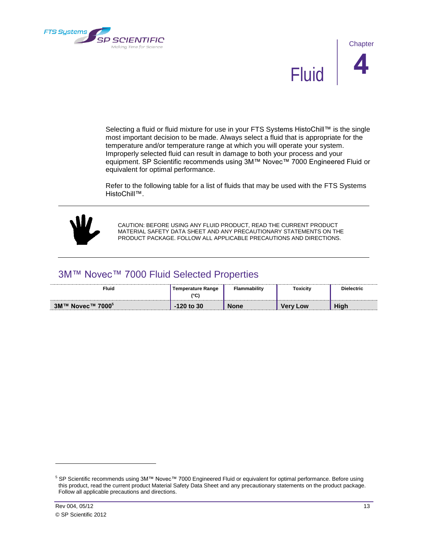<span id="page-20-0"></span>



Selecting a fluid or fluid mixture for use in your FTS Systems HistoChill™ is the single most important decision to be made. Always select a fluid that is appropriate for the temperature and/or temperature range at which you will operate your system. Improperly selected fluid can result in damage to both your process and your equipment. SP Scientific recommends using 3M™ Novec™ 7000 Engineered Fluid or equivalent for optimal performance.

Refer to the following table for a list of fluids that may be used with the FTS Systems HistoChill™.



CAUTION: BEFORE USING ANY FLUID PRODUCT, READ THE CURRENT PRODUCT MATERIAL SAFETY DATA SHEET AND ANY PRECAUTIONARY STATEMENTS ON THE PRODUCT PACKAGE. FOLLOW ALL APPLICABLE PRECAUTIONS AND DIRECTIONS.

### <span id="page-20-1"></span>3M™ Novec™ 7000 Fluid Selected Properties

| <b>Fluid</b>                                                                                                           | danger o<br>$\sim$<br>v | -2124 | <b>oxicity</b> |                       |
|------------------------------------------------------------------------------------------------------------------------|-------------------------|-------|----------------|-----------------------|
| NOVECTM 7000<br>$3M$ <sup>TM</sup><br>,我们就不能在这里,我们就不能在这里,我们就不能在这里,我们就不能在这里,我们就不能在这里,我们就不能在这里,我们就不能在这里,我们就不能在这里,我们就不能在这 | 30<br>-                 |       | _ow            | <b>Uiak</b><br>,,,,,, |

l

<sup>5</sup> SP Scientific recommends using 3M™ Novec™ 7000 Engineered Fluid or equivalent for optimal performance. Before using this product, read the current product Material Safety Data Sheet and any precautionary statements on the product package. Follow all applicable precautions and directions.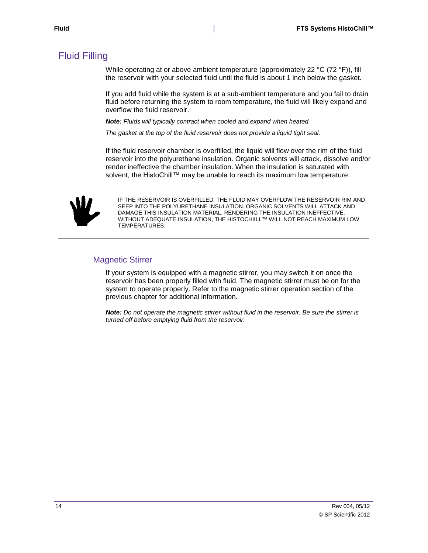# <span id="page-21-0"></span>Fluid Filling

While operating at or above ambient temperature (approximately 22 °C (72 °F)), fill the reservoir with your selected fluid until the fluid is about 1 inch below the gasket.

If you add fluid while the system is at a sub-ambient temperature and you fail to drain fluid before returning the system to room temperature, the fluid will likely expand and overflow the fluid reservoir.

*Note: Fluids will typically contract when cooled and expand when heated.* 

*The gasket at the top of the fluid reservoir does not provide a liquid tight seal.* 

If the fluid reservoir chamber is overfilled, the liquid will flow over the rim of the fluid reservoir into the polyurethane insulation. Organic solvents will attack, dissolve and/or render ineffective the chamber insulation. When the insulation is saturated with solvent, the HistoChill™ may be unable to reach its maximum low temperature.



IF THE RESERVOIR IS OVERFILLED, THE FLUID MAY OVERFLOW THE RESERVOIR RIM AND SEEP INTO THE POLYURETHANE INSULATION. ORGANIC SOLVENTS WILL ATTACK AND DAMAGE THIS INSULATION MATERIAL, RENDERING THE INSULATION INEFFECTIVE. WITHOUT ADEQUATE INSULATION, THE HISTOCHIILL™ WILL NOT REACH MAXIMUM LOW TEMPERATURES.

#### <span id="page-21-1"></span>Magnetic Stirrer

If your system is equipped with a magnetic stirrer, you may switch it on once the reservoir has been properly filled with fluid. The magnetic stirrer must be on for the system to operate properly. Refer to the magnetic stirrer operation section of the previous chapter for additional information.

*Note: Do not operate the magnetic stirrer without fluid in the reservoir. Be sure the stirrer is turned off before emptying fluid from the reservoir.*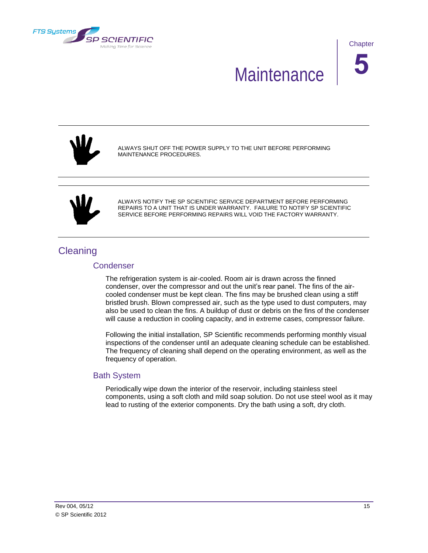<span id="page-22-0"></span>

**Chapter** 

# Maintenance **5**



ALWAYS SHUT OFF THE POWER SUPPLY TO THE UNIT BEFORE PERFORMING MAINTENANCE PROCEDURES.



ALWAYS NOTIFY THE SP SCIENTIFIC SERVICE DEPARTMENT BEFORE PERFORMING REPAIRS TO A UNIT THAT IS UNDER WARRANTY. FAILURE TO NOTIFY SP SCIENTIFIC SERVICE BEFORE PERFORMING REPAIRS WILL VOID THE FACTORY WARRANTY.

# <span id="page-22-2"></span><span id="page-22-1"></span>**Cleaning**

#### **Condenser**

The refrigeration system is air-cooled. Room air is drawn across the finned condenser, over the compressor and out the unit's rear panel. The fins of the aircooled condenser must be kept clean. The fins may be brushed clean using a stiff bristled brush. Blown compressed air, such as the type used to dust computers, may also be used to clean the fins. A buildup of dust or debris on the fins of the condenser will cause a reduction in cooling capacity, and in extreme cases, compressor failure.

Following the initial installation, SP Scientific recommends performing monthly visual inspections of the condenser until an adequate cleaning schedule can be established. The frequency of cleaning shall depend on the operating environment, as well as the frequency of operation.

#### <span id="page-22-3"></span>Bath System

Periodically wipe down the interior of the reservoir, including stainless steel components, using a soft cloth and mild soap solution. Do not use steel wool as it may lead to rusting of the exterior components. Dry the bath using a soft, dry cloth.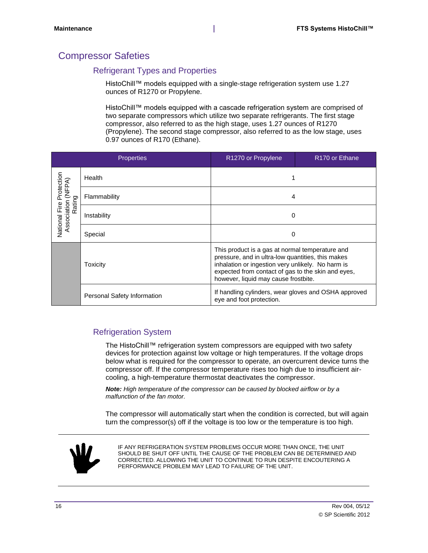# <span id="page-23-1"></span><span id="page-23-0"></span>Compressor Safeties

#### Refrigerant Types and Properties

HistoChill™ models equipped with a single-stage refrigeration system use 1.27 ounces of R1270 or Propylene.

HistoChill™ models equipped with a cascade refrigeration system are comprised of two separate compressors which utilize two separate refrigerants. The first stage compressor, also referred to as the high stage, uses 1.27 ounces of R1270 (Propylene). The second stage compressor, also referred to as the low stage, uses 0.97 ounces of R170 (Ethane).

|                     | <b>Properties</b>           | R1270 or Propylene                                                                                                                                                                                                                                      | R <sub>170</sub> or Ethane |
|---------------------|-----------------------------|---------------------------------------------------------------------------------------------------------------------------------------------------------------------------------------------------------------------------------------------------------|----------------------------|
| Protection          | Health                      |                                                                                                                                                                                                                                                         |                            |
| (NFPA)<br>Rating    | Flammability                | 4                                                                                                                                                                                                                                                       |                            |
| Association<br>Fire | Instability                 | 0                                                                                                                                                                                                                                                       |                            |
| National            | Special                     | 0                                                                                                                                                                                                                                                       |                            |
|                     | Toxicity                    | This product is a gas at normal temperature and<br>pressure, and in ultra-low quantities, this makes<br>inhalation or ingestion very unlikely. No harm is<br>expected from contact of gas to the skin and eyes,<br>however, liquid may cause frostbite. |                            |
|                     | Personal Safety Information | If handling cylinders, wear gloves and OSHA approved<br>eye and foot protection.                                                                                                                                                                        |                            |

### <span id="page-23-2"></span>Refrigeration System

The HistoChill™ refrigeration system compressors are equipped with two safety devices for protection against low voltage or high temperatures. If the voltage drops below what is required for the compressor to operate, an overcurrent device turns the compressor off. If the compressor temperature rises too high due to insufficient aircooling, a high-temperature thermostat deactivates the compressor.

*Note: High temperature of the compressor can be caused by blocked airflow or by a malfunction of the fan motor.*

The compressor will automatically start when the condition is corrected, but will again turn the compressor(s) off if the voltage is too low or the temperature is too high.



IF ANY REFRIGERATION SYSTEM PROBLEMS OCCUR MORE THAN ONCE, THE UNIT SHOULD BE SHUT OFF UNTIL THE CAUSE OF THE PROBLEM CAN BE DETERMINED AND CORRECTED. ALLOWING THE UNIT TO CONTINUE TO RUN DESPITE ENCOUTERING A PERFORMANCE PROBLEM MAY LEAD TO FAILURE OF THE UNIT.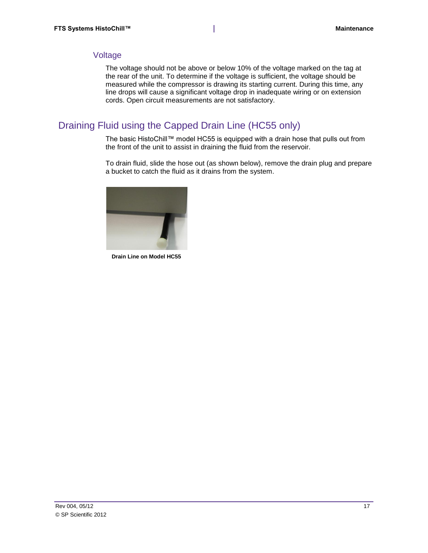#### <span id="page-24-0"></span>Voltage

The voltage should not be above or below 10% of the voltage marked on the tag at the rear of the unit. To determine if the voltage is sufficient, the voltage should be measured while the compressor is drawing its starting current. During this time, any line drops will cause a significant voltage drop in inadequate wiring or on extension cords. Open circuit measurements are not satisfactory.

# <span id="page-24-1"></span>Draining Fluid using the Capped Drain Line (HC55 only)

The basic HistoChill™ model HC55 is equipped with a drain hose that pulls out from the front of the unit to assist in draining the fluid from the reservoir.

To drain fluid, slide the hose out (as shown below), remove the drain plug and prepare a bucket to catch the fluid as it drains from the system.



**Drain Line on Model HC55**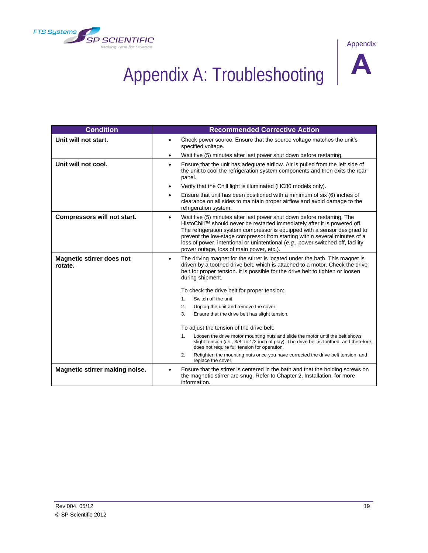<span id="page-26-0"></span>



# Appendix A: Troubleshooting **A**

| <b>Condition</b>                            | <b>Recommended Corrective Action</b>                                                                                                                                                                                                                                                                                                                                                                                                                         |  |
|---------------------------------------------|--------------------------------------------------------------------------------------------------------------------------------------------------------------------------------------------------------------------------------------------------------------------------------------------------------------------------------------------------------------------------------------------------------------------------------------------------------------|--|
| Unit will not start.                        | Check power source. Ensure that the source voltage matches the unit's<br>$\bullet$<br>specified voltage.                                                                                                                                                                                                                                                                                                                                                     |  |
|                                             | Wait five (5) minutes after last power shut down before restarting.<br>٠                                                                                                                                                                                                                                                                                                                                                                                     |  |
| Unit will not cool.                         | Ensure that the unit has adequate airflow. Air is pulled from the left side of<br>$\bullet$<br>the unit to cool the refrigeration system components and then exits the rear<br>panel.                                                                                                                                                                                                                                                                        |  |
|                                             | Verify that the Chill light is illuminated (HC80 models only).<br>٠                                                                                                                                                                                                                                                                                                                                                                                          |  |
|                                             | Ensure that unit has been positioned with a minimum of six (6) inches of<br>٠<br>clearance on all sides to maintain proper airflow and avoid damage to the<br>refrigeration system.                                                                                                                                                                                                                                                                          |  |
| Compressors will not start.                 | Wait five (5) minutes after last power shut down before restarting. The<br>$\bullet$<br>HistoChill™ should never be restarted immediately after it is powered off.<br>The refrigeration system compressor is equipped with a sensor designed to<br>prevent the low-stage compressor from starting within several minutes of a<br>loss of power, intentional or unintentional (e.g., power switched off, facility<br>power outage, loss of main power, etc.). |  |
| <b>Magnetic stirrer does not</b><br>rotate. | The driving magnet for the stirrer is located under the bath. This magnet is<br>$\bullet$<br>driven by a toothed drive belt, which is attached to a motor. Check the drive<br>belt for proper tension. It is possible for the drive belt to tighten or loosen<br>during shipment.                                                                                                                                                                            |  |
|                                             | To check the drive belt for proper tension:                                                                                                                                                                                                                                                                                                                                                                                                                  |  |
|                                             | 1.<br>Switch off the unit.                                                                                                                                                                                                                                                                                                                                                                                                                                   |  |
|                                             | 2.<br>Unplug the unit and remove the cover.                                                                                                                                                                                                                                                                                                                                                                                                                  |  |
|                                             | 3.<br>Ensure that the drive belt has slight tension.                                                                                                                                                                                                                                                                                                                                                                                                         |  |
|                                             | To adjust the tension of the drive belt:                                                                                                                                                                                                                                                                                                                                                                                                                     |  |
|                                             | Loosen the drive motor mounting nuts and slide the motor until the belt shows<br>1.<br>slight tension (i.e., 3/8- to 1/2-inch of play). The drive belt is toothed, and therefore,<br>does not require full tension for operation.                                                                                                                                                                                                                            |  |
|                                             | 2.<br>Retighten the mounting nuts once you have corrected the drive belt tension, and<br>replace the cover.                                                                                                                                                                                                                                                                                                                                                  |  |
| Magnetic stirrer making noise.              | Ensure that the stirrer is centered in the bath and that the holding screws on<br>the magnetic stirrer are snug. Refer to Chapter 2, Installation, for more<br>information.                                                                                                                                                                                                                                                                                  |  |